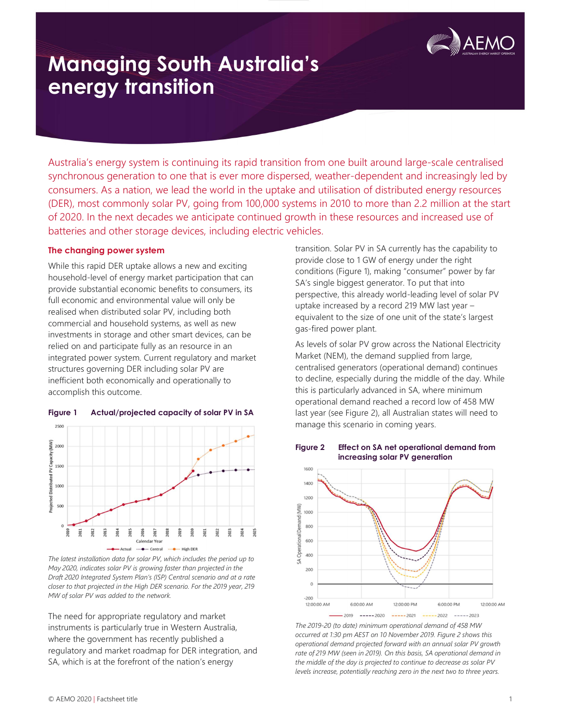

Australia's energy system is continuing its rapid transition from one built around large-scale centralised synchronous generation to one that is ever more dispersed, weather-dependent and increasingly led by consumers. As a nation, we lead the world in the uptake and utilisation of distributed energy resources (DER), most commonly solar PV, going from 100,000 systems in 2010 to more than 2.2 million at the start of 2020. In the next decades we anticipate continued growth in these resources and increased use of batteries and other storage devices, including electric vehicles.

#### The changing power system

While this rapid DER uptake allows a new and exciting household-level of energy market participation that can provide substantial economic benefits to consumers, its full economic and environmental value will only be realised when distributed solar PV, including both commercial and household systems, as well as new investments in storage and other smart devices, can be relied on and participate fully as an resource in an integrated power system. Current regulatory and market structures governing DER including solar PV are inefficient both economically and operationally to accomplish this outcome.



#### Figure 1 Actual/projected capacity of solar PV in SA

The latest installation data for solar PV, which includes the period up to May 2020, indicates solar PV is growing faster than projected in the Draft 2020 Integrated System Plan's (ISP) Central scenario and at a rate closer to that projected in the High DER scenario. For the 2019 year, 219 MW of solar PV was added to the network.

The need for appropriate regulatory and market instruments is particularly true in Western Australia, where the government has recently published a regulatory and market roadmap for DER integration, and SA, which is at the forefront of the nation's energy

transition. Solar PV in SA currently has the capability to provide close to 1 GW of energy under the right conditions (Figure 1), making "consumer" power by far SA's single biggest generator. To put that into perspective, this already world-leading level of solar PV uptake increased by a record 219 MW last year – equivalent to the size of one unit of the state's largest gas-fired power plant.

As levels of solar PV grow across the National Electricity Market (NEM), the demand supplied from large, centralised generators (operational demand) continues to decline, especially during the middle of the day. While this is particularly advanced in SA, where minimum operational demand reached a record low of 458 MW last year (see Figure 2), all Australian states will need to manage this scenario in coming years.



Figure 2 Effect on SA net operational demand from increasing solar PV generation

The 2019-20 (to date) minimum operational demand of 458 MW occurred at 1:30 pm AEST on 10 November 2019. Figure 2 shows this operational demand projected forward with an annual solar PV growth rate of 219 MW (seen in 2019). On this basis, SA operational demand in the middle of the day is projected to continue to decrease as solar PV levels increase, potentially reaching zero in the next two to three years.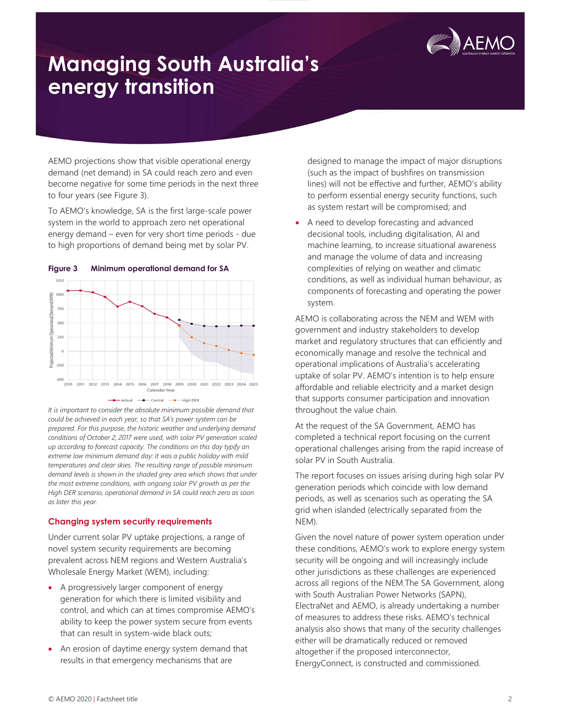

AEMO projections show that visible operational energy demand (net demand) in SA could reach zero and even become negative for some time periods in the next three to four years (see Figure 3).

To AEMO's knowledge, SA is the first large-scale power system in the world to approach zero net operational energy demand – even for very short time periods - due to high proportions of demand being met by solar PV.



Figure 3 Minimum operational demand for SA

It is important to consider the absolute minimum possible demand that could be achieved in each year, so that SA's power system can be prepared. For this purpose, the historic weather and underlying demand conditions of October 2, 2017 were used, with solar PV generation scaled up according to forecast capacity. The conditions on this day typify an extreme low minimum demand day: it was a public holiday with mild temperatures and clear skies. The resulting range of possible minimum demand levels is shown in the shaded grey area which shows that under the most extreme conditions, with ongoing solar PV growth as per the High DER scenario, operational demand in SA could reach zero as soon as later this year.

### Changing system security requirements

Under current solar PV uptake projections, a range of novel system security requirements are becoming prevalent across NEM regions and Western Australia's Wholesale Energy Market (WEM), including:

- A progressively larger component of energy generation for which there is limited visibility and control, and which can at times compromise AEMO's ability to keep the power system secure from events that can result in system-wide black outs;
- An erosion of daytime energy system demand that results in that emergency mechanisms that are

designed to manage the impact of major disruptions (such as the impact of bushfires on transmission lines) will not be effective and further, AEMO's ability to perform essential energy security functions, such as system restart will be compromised; and

 A need to develop forecasting and advanced decisional tools, including digitalisation, AI and machine learning, to increase situational awareness and manage the volume of data and increasing complexities of relying on weather and climatic conditions, as well as individual human behaviour, as components of forecasting and operating the power system.

AEMO is collaborating across the NEM and WEM with government and industry stakeholders to develop market and regulatory structures that can efficiently and economically manage and resolve the technical and operational implications of Australia's accelerating uptake of solar PV. AEMO's intention is to help ensure affordable and reliable electricity and a market design that supports consumer participation and innovation throughout the value chain.

At the request of the SA Government, AEMO has completed a technical report focusing on the current operational challenges arising from the rapid increase of solar PV in South Australia.

The report focuses on issues arising during high solar PV generation periods which coincide with low demand periods, as well as scenarios such as operating the SA grid when islanded (electrically separated from the NEM).

Given the novel nature of power system operation under these conditions, AEMO's work to explore energy system security will be ongoing and will increasingly include other jurisdictions as these challenges are experienced across all regions of the NEM.The SA Government, along with South Australian Power Networks (SAPN), ElectraNet and AEMO, is already undertaking a number of measures to address these risks. AEMO's technical analysis also shows that many of the security challenges either will be dramatically reduced or removed altogether if the proposed interconnector, EnergyConnect, is constructed and commissioned.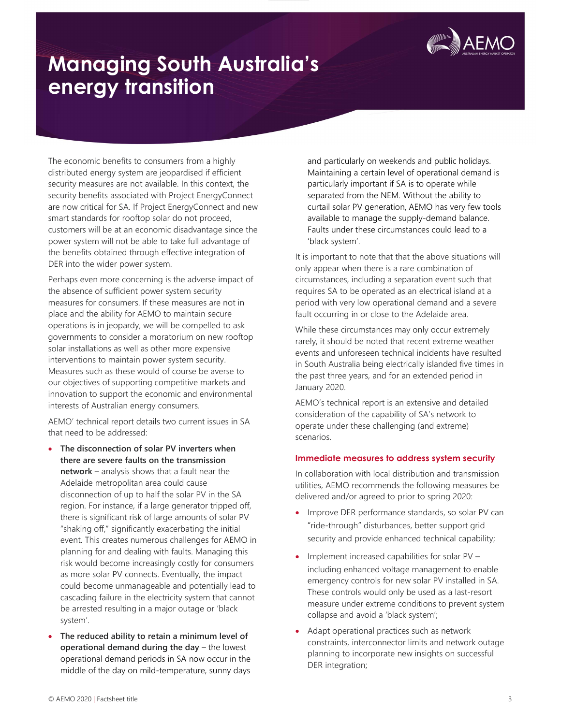

The economic benefits to consumers from a highly distributed energy system are jeopardised if efficient security measures are not available. In this context, the security benefits associated with Project EnergyConnect are now critical for SA. If Project EnergyConnect and new smart standards for rooftop solar do not proceed, customers will be at an economic disadvantage since the power system will not be able to take full advantage of the benefits obtained through effective integration of DER into the wider power system.

Perhaps even more concerning is the adverse impact of the absence of sufficient power system security measures for consumers. If these measures are not in place and the ability for AEMO to maintain secure operations is in jeopardy, we will be compelled to ask governments to consider a moratorium on new rooftop solar installations as well as other more expensive interventions to maintain power system security. Measures such as these would of course be averse to our objectives of supporting competitive markets and innovation to support the economic and environmental interests of Australian energy consumers.

AEMO' technical report details two current issues in SA that need to be addressed:

- The disconnection of solar PV inverters when there are severe faults on the transmission network – analysis shows that a fault near the Adelaide metropolitan area could cause disconnection of up to half the solar PV in the SA region. For instance, if a large generator tripped off, there is significant risk of large amounts of solar PV "shaking off," significantly exacerbating the initial event. This creates numerous challenges for AEMO in planning for and dealing with faults. Managing this risk would become increasingly costly for consumers as more solar PV connects. Eventually, the impact could become unmanageable and potentially lead to cascading failure in the electricity system that cannot be arrested resulting in a major outage or 'black system'.
- The reduced ability to retain a minimum level of operational demand during the day – the lowest operational demand periods in SA now occur in the middle of the day on mild-temperature, sunny days

and particularly on weekends and public holidays. Maintaining a certain level of operational demand is particularly important if SA is to operate while separated from the NEM. Without the ability to curtail solar PV generation, AEMO has very few tools available to manage the supply-demand balance. Faults under these circumstances could lead to a 'black system'.

It is important to note that that the above situations will only appear when there is a rare combination of circumstances, including a separation event such that requires SA to be operated as an electrical island at a period with very low operational demand and a severe fault occurring in or close to the Adelaide area.

While these circumstances may only occur extremely rarely, it should be noted that recent extreme weather events and unforeseen technical incidents have resulted in South Australia being electrically islanded five times in the past three years, and for an extended period in January 2020.

AEMO's technical report is an extensive and detailed consideration of the capability of SA's network to operate under these challenging (and extreme) scenarios.

### Immediate measures to address system security

In collaboration with local distribution and transmission utilities, AEMO recommends the following measures be delivered and/or agreed to prior to spring 2020:

- Improve DER performance standards, so solar PV can "ride-through" disturbances, better support grid security and provide enhanced technical capability;
- Implement increased capabilities for solar PV including enhanced voltage management to enable emergency controls for new solar PV installed in SA. These controls would only be used as a last-resort measure under extreme conditions to prevent system collapse and avoid a 'black system';
- Adapt operational practices such as network constraints, interconnector limits and network outage planning to incorporate new insights on successful DER integration;